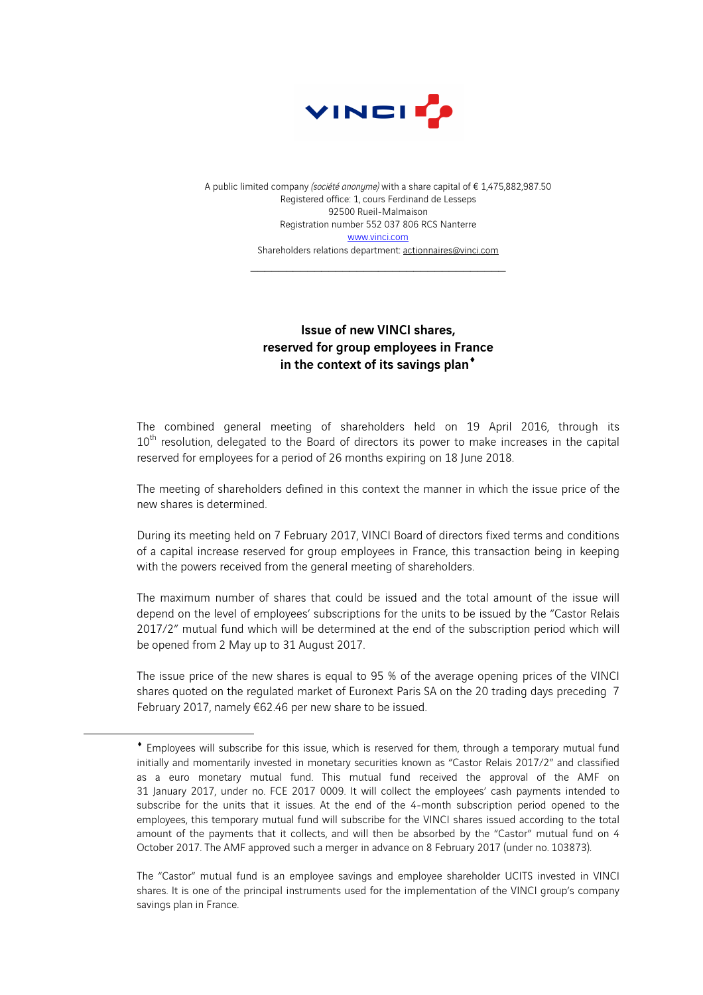

A public limited company *(société anonyme)* with a share capital of € 1,475,882,987.50 Registered office: 1, cours Ferdinand de Lesseps 92500 Rueil-Malmaison Registration number 552 037 806 RCS Nanterre www.vinci.com Shareholders relations department: actionnaires@vinci.com

 $\mathcal{L}_\text{max}$ 

## Issue of new VINCI shares, reserved for group employees in France in the context of its savings plan<sup>\*</sup>

The combined general meeting of shareholders held on 19 April 2016, through its 10<sup>th</sup> resolution, delegated to the Board of directors its power to make increases in the capital reserved for employees for a period of 26 months expiring on 18 June 2018.

The meeting of shareholders defined in this context the manner in which the issue price of the new shares is determined.

During its meeting held on 7 February 2017, VINCI Board of directors fixed terms and conditions of a capital increase reserved for group employees in France, this transaction being in keeping with the powers received from the general meeting of shareholders.

The maximum number of shares that could be issued and the total amount of the issue will depend on the level of employees' subscriptions for the units to be issued by the "Castor Relais 2017/2" mutual fund which will be determined at the end of the subscription period which will be opened from 2 May up to 31 August 2017.

The issue price of the new shares is equal to 95 % of the average opening prices of the VINCI shares quoted on the regulated market of Euronext Paris SA on the 20 trading days preceding 7 February 2017, namely €62.46 per new share to be issued.

 $\overline{a}$ 

<sup>¨</sup> Employees will subscribe for this issue, which is reserved for them, through a temporary mutual fund initially and momentarily invested in monetary securities known as "Castor Relais 2017/2" and classified as a euro monetary mutual fund. This mutual fund received the approval of the AMF on 31 January 2017, under no. FCE 2017 0009. It will collect the employees' cash payments intended to subscribe for the units that it issues. At the end of the 4-month subscription period opened to the employees, this temporary mutual fund will subscribe for the VINCI shares issued according to the total amount of the payments that it collects, and will then be absorbed by the "Castor" mutual fund on 4 October 2017. The AMF approved such a merger in advance on 8 February 2017 (under no. 103873).

The "Castor" mutual fund is an employee savings and employee shareholder UCITS invested in VINCI shares. It is one of the principal instruments used for the implementation of the VINCI group's company savings plan in France.